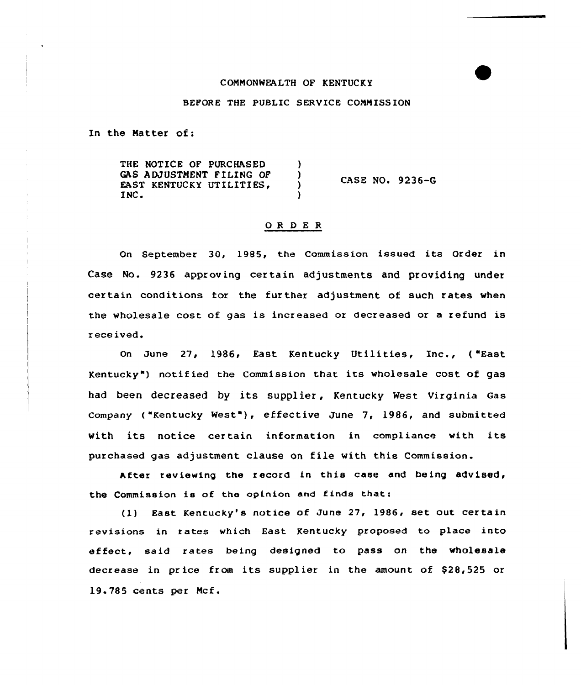# COMMONWEALTH OF KENTUCKY

## BEFORE THE PUBLIC SERVICE COMM ISSION

In the Matter of:

THE NOTICE OF PURCHASED ) GAS ADJUSTMENT FILING OF )<br>EAST KENTUCKY UTILITIES, ) CASE NO. 9236-G EAST KENTUCKY UTILITIES,<br>INC.  $\lambda$ 

#### OR DE R

On September 30, 1985, the Commission issued its Order in Case No. 9236 approving certain adjustments and providing under certain conditions for the further adjustment of such rates when the wholesale cost of gas is increased or decreased or <sup>a</sup> refund is received.

On June 27, 1986, East Kentucky Utilities, Inc., ( "East Kentucky") notified the Commission that its wholesale cost of gas had been decreased by its supplier, Kentucky West Virginia Gas company ("Kentucky west"), effective June 7, 1986, and submitted with its notice certain information in compliance with its purchased gas adjustment clause on file with this Commission.

After reviewing the record in this case and being advised, the Commission is of the opinion and finds that:

(1) East Kentucky's notice of June 27, 1986, set out certain revisions in rates which East Kentucky proposed to place into effect, said rates being designed to pass on the wholesale decrease in price from its supplier in the amount of \$28,525 or 19.785 cents per Mcf.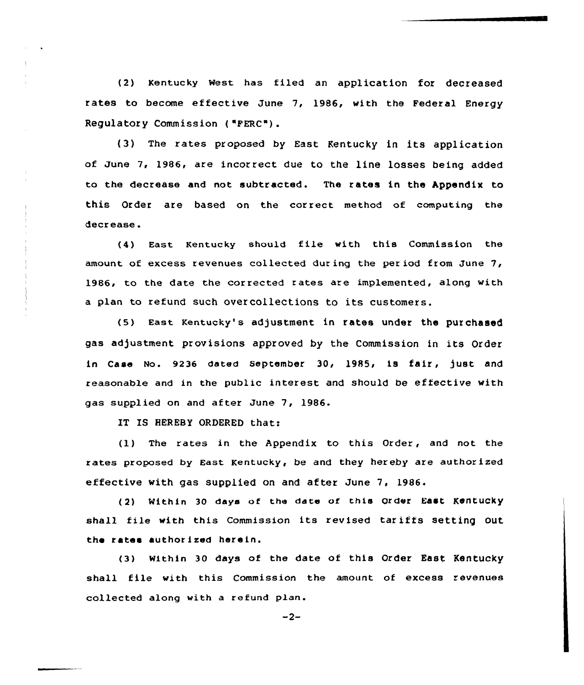(2) Kentucky West has filed an application for decreased rates to become effective June 7, 1986, with the Federal Energy Regulatory Commission ( "PERC").

(3) The rates proposed by East Kentucky in its application of June 7, 1986, are incorrect due to the line losses being added to the decrease and not subtracted. The rates in the hppendix to this Order are based on the correct method of computing the decrease.

(4) East Kentucky should file with this Commission the amount of excess revenues collected during the per iod from June 7, 1986, to the date the corrected rates are implemented, along with <sup>a</sup> plan to refund such overcollections to its customers.

(5) East Kentucky's adjustment in rates under the purchased gas adjustment provisions approved by the Commission in its Order in Case No. 9236 dated September 30, 1985, is fair, just and reasonable and in the public interest and should be effective with gas supplied on and after June 7, 1986.

IT IS HEREBY ORDERED that:

(1) The rates in the Appendix to this Order, and not the rates proposed by East Kentucky, be and they hereby are authorized effective with gas supplied on and after June 7, 1986.

(2) Within 30 days of the date of this Order East Kentucky shall file with this Commission its revised tar iffs setting out the rates authorized herein.

(3) Within 30 days of the date of this Order East Kentucky shall file with this Commission the amount of excess revenues collected along with a refund plan.

 $-2-$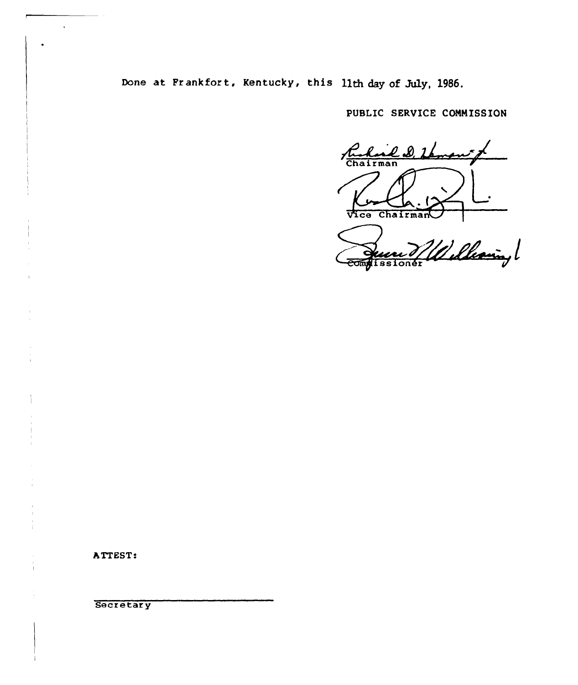Done at Frankfort, Kentucky, this lith day of July, 1986.

PUBLIC SERVICE COMMISSION

Ruhard D. Lamon Vice Chairman

Quent Millebeauin,

ATTEST:

i.

Secretary